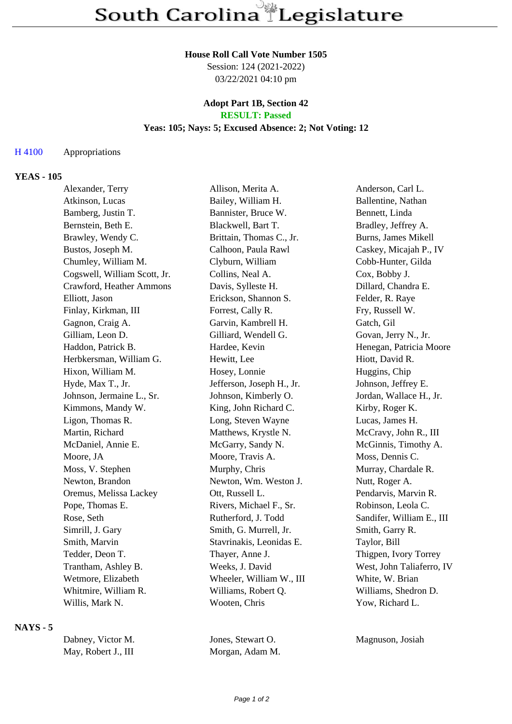# **House Roll Call Vote Number 1505**

Session: 124 (2021-2022) 03/22/2021 04:10 pm

### **Adopt Part 1B, Section 42 RESULT: Passed**

# **Yeas: 105; Nays: 5; Excused Absence: 2; Not Voting: 12**

### H 4100 Appropriations

### **YEAS - 105**

| Alexander, Terry             | Allison, Merita A.        | Anderson, Carl L.         |
|------------------------------|---------------------------|---------------------------|
| Atkinson, Lucas              | Bailey, William H.        | Ballentine, Nathan        |
| Bamberg, Justin T.           | Bannister, Bruce W.       | Bennett, Linda            |
| Bernstein, Beth E.           | Blackwell, Bart T.        | Bradley, Jeffrey A.       |
| Brawley, Wendy C.            | Brittain, Thomas C., Jr.  | Burns, James Mikell       |
| Bustos, Joseph M.            | Calhoon, Paula Rawl       | Caskey, Micajah P., IV    |
| Chumley, William M.          | Clyburn, William          | Cobb-Hunter, Gilda        |
| Cogswell, William Scott, Jr. | Collins, Neal A.          | Cox, Bobby J.             |
| Crawford, Heather Ammons     | Davis, Sylleste H.        | Dillard, Chandra E.       |
| Elliott, Jason               | Erickson, Shannon S.      | Felder, R. Raye           |
| Finlay, Kirkman, III         | Forrest, Cally R.         | Fry, Russell W.           |
| Gagnon, Craig A.             | Garvin, Kambrell H.       | Gatch, Gil                |
| Gilliam, Leon D.             | Gilliard, Wendell G.      | Govan, Jerry N., Jr.      |
| Haddon, Patrick B.           | Hardee, Kevin             | Henegan, Patricia Moore   |
| Herbkersman, William G.      | Hewitt, Lee               | Hiott, David R.           |
| Hixon, William M.            | Hosey, Lonnie             | Huggins, Chip             |
| Hyde, Max T., Jr.            | Jefferson, Joseph H., Jr. | Johnson, Jeffrey E.       |
| Johnson, Jermaine L., Sr.    | Johnson, Kimberly O.      | Jordan, Wallace H., Jr.   |
| Kimmons, Mandy W.            | King, John Richard C.     | Kirby, Roger K.           |
| Ligon, Thomas R.             | Long, Steven Wayne        | Lucas, James H.           |
| Martin, Richard              | Matthews, Krystle N.      | McCravy, John R., III     |
| McDaniel, Annie E.           | McGarry, Sandy N.         | McGinnis, Timothy A.      |
| Moore, JA                    | Moore, Travis A.          | Moss, Dennis C.           |
| Moss, V. Stephen             | Murphy, Chris             | Murray, Chardale R.       |
| Newton, Brandon              | Newton, Wm. Weston J.     | Nutt, Roger A.            |
| Oremus, Melissa Lackey       | Ott, Russell L.           | Pendarvis, Marvin R.      |
| Pope, Thomas E.              | Rivers, Michael F., Sr.   | Robinson, Leola C.        |
| Rose, Seth                   | Rutherford, J. Todd       | Sandifer, William E., III |
| Simrill, J. Gary             | Smith, G. Murrell, Jr.    | Smith, Garry R.           |
| Smith, Marvin                | Stavrinakis, Leonidas E.  | Taylor, Bill              |
| Tedder, Deon T.              | Thayer, Anne J.           | Thigpen, Ivory Torrey     |
| Trantham, Ashley B.          | Weeks, J. David           | West, John Taliaferro, IV |
| Wetmore, Elizabeth           | Wheeler, William W., III  | White, W. Brian           |
| Whitmire, William R.         | Williams, Robert Q.       | Williams, Shedron D.      |
| Willis, Mark N.              | Wooten, Chris             | Yow, Richard L.           |

### **NAYS - 5**

| Dabney, Victor M.   | Jones, Stewart O. | Magnuson, Josiah |
|---------------------|-------------------|------------------|
| May, Robert J., III | Morgan, Adam M.   |                  |